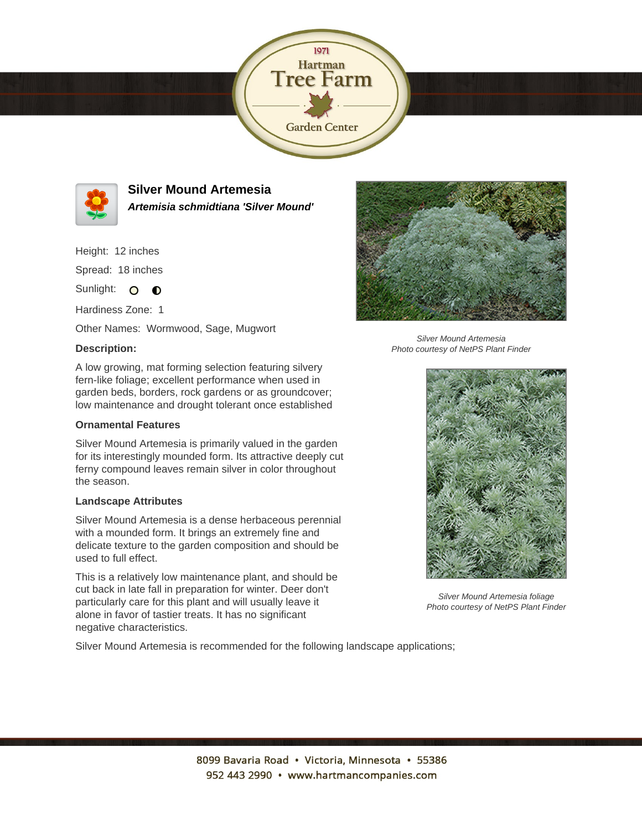



**Silver Mound Artemesia Artemisia schmidtiana 'Silver Mound'**

Height: 12 inches

Spread: 18 inches

Sunlight: O  $\bullet$ 

Hardiness Zone: 1

Other Names: Wormwood, Sage, Mugwort

## **Description:**



Silver Mound Artemesia Photo courtesy of NetPS Plant Finder

A low growing, mat forming selection featuring silvery fern-like foliage; excellent performance when used in garden beds, borders, rock gardens or as groundcover; low maintenance and drought tolerant once established

## **Ornamental Features**

Silver Mound Artemesia is primarily valued in the garden for its interestingly mounded form. Its attractive deeply cut ferny compound leaves remain silver in color throughout the season.

## **Landscape Attributes**

Silver Mound Artemesia is a dense herbaceous perennial with a mounded form. It brings an extremely fine and delicate texture to the garden composition and should be used to full effect.

This is a relatively low maintenance plant, and should be cut back in late fall in preparation for winter. Deer don't particularly care for this plant and will usually leave it alone in favor of tastier treats. It has no significant negative characteristics.

Silver Mound Artemesia is recommended for the following landscape applications;



Silver Mound Artemesia foliage Photo courtesy of NetPS Plant Finder